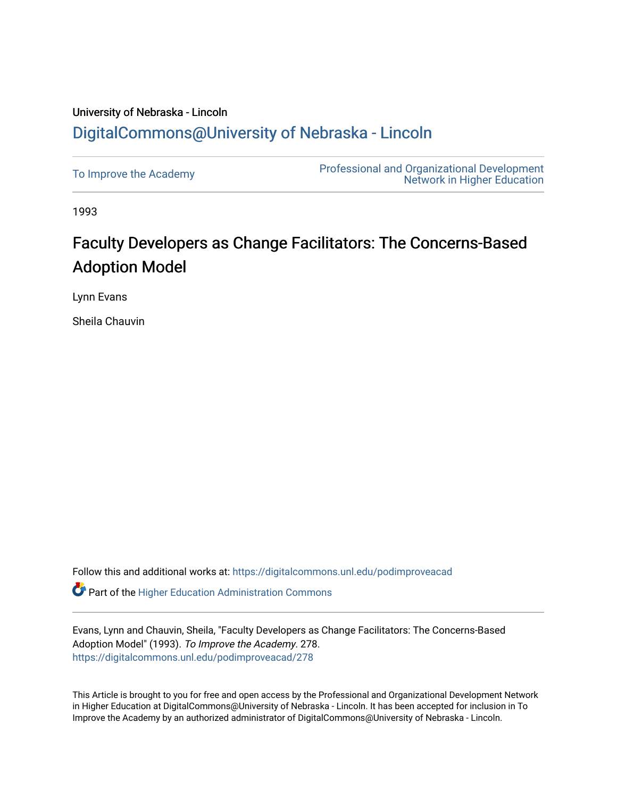## University of Nebraska - Lincoln [DigitalCommons@University of Nebraska - Lincoln](https://digitalcommons.unl.edu/)

| To Improve the Academy | <b>Professional and Organizational Development</b><br><b>Network in Higher Education</b> |
|------------------------|------------------------------------------------------------------------------------------|
|------------------------|------------------------------------------------------------------------------------------|

1993

## Faculty Developers as Change Facilitators: The Concerns-Based Adoption Model

Lynn Evans

Sheila Chauvin

Follow this and additional works at: [https://digitalcommons.unl.edu/podimproveacad](https://digitalcommons.unl.edu/podimproveacad?utm_source=digitalcommons.unl.edu%2Fpodimproveacad%2F278&utm_medium=PDF&utm_campaign=PDFCoverPages)

**C** Part of the Higher Education Administration Commons

Evans, Lynn and Chauvin, Sheila, "Faculty Developers as Change Facilitators: The Concerns-Based Adoption Model" (1993). To Improve the Academy. 278. [https://digitalcommons.unl.edu/podimproveacad/278](https://digitalcommons.unl.edu/podimproveacad/278?utm_source=digitalcommons.unl.edu%2Fpodimproveacad%2F278&utm_medium=PDF&utm_campaign=PDFCoverPages)

This Article is brought to you for free and open access by the Professional and Organizational Development Network in Higher Education at DigitalCommons@University of Nebraska - Lincoln. It has been accepted for inclusion in To Improve the Academy by an authorized administrator of DigitalCommons@University of Nebraska - Lincoln.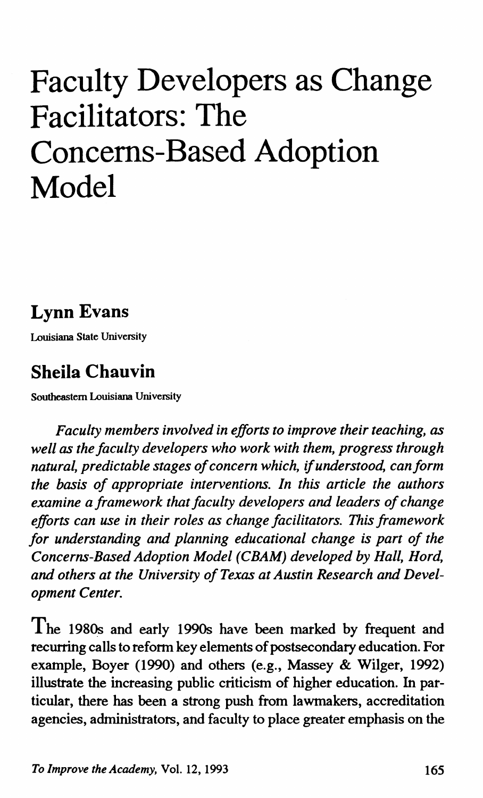# **Faculty Developers as Change Facilitators: The Concerns-Based Adoption Model**

## **Lynn Evans**

Louisiana State University

## **Sheila Chauvin**

Southeastern Louisiana University

*Faculty members involved in efforts to improve their teaching, as well as the faculty developers who work with them, progress through natural, predictable stages of concern which,* if *understood, can form the basis of appropriate interventions. In this article the authors examine a framework that faculty developers and leaders of change efforts can use in their roles as change facilitators. This framework for understanding and planning educational change is part of the Concerns-Based Adoption Model (CBAM) developed by Hall, Hord, and others at the University of Texas at Austin Research and Development Center.* 

The 1980s and early 1990s have been marked by frequent and recurring calls to reform key elements of postsecondary education. For example, Boyer (1990) and others (e.g., Massey & Wilger, 1992) illustrate the increasing public criticism of higher education. In particular, there has been a strong push from lawmakers, accreditation agencies, administrators, and faculty to place greater emphasis on the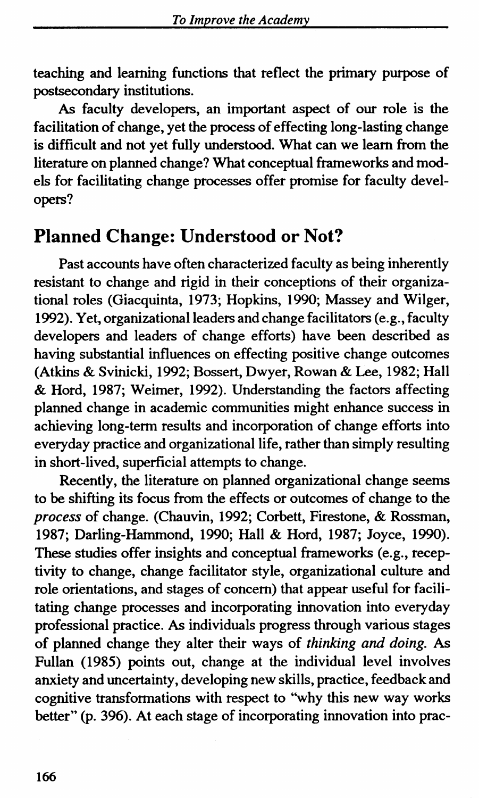teaching and learning functions that reflect the primary purpose of postsecondary institutions.

As faculty developers, an important aspect of our role is the facilitation of change, yet the process of effecting long-lasting change is difficult and not yet fully understood. What can we learn from the literature on planned change? What conceptual frameworks and models for facilitating change processes offer promise for faculty developers?

### **Planned Change: Understood or Not?**

Past accounts have often characterized faculty as being inherently resistant to change and rigid in their conceptions of their organizational roles (Giacquinta, 1973; Hopkins, 1990; Massey and Wilger, 1992). Yet, organizational leaders and change facilitators (e.g., faculty developers and leaders of change efforts) have been described as having substantial influences on effecting positive change outcomes (Atkins & Svinicki, 1992; Bossert, Dwyer, Rowan & Lee, 1982; Hall & Hord, 1987; Weimer, 1992). Understanding the factors affecting planned change in academic communities might enhance success in achieving long-term results and incorporation of change efforts into everyday practice and organizational life, rather than simply resulting in short-lived, superficial attempts to change.

Recently, the literature on planned organizational change seems to be shifting its focus from the effects or outcomes of change to the *process* of change. (Chauvin, 1992; Corbett, Firestone, & Rossman, 1987; Darling-Hammond, 1990; Hall & Hord, 1987; Joyce, 1990). These studies offer insights and conceptual frameworks (e.g., receptivity to change, change facilitator style, organizational culture and role orientations, and stages of concern) that appear useful for facilitating change processes and incorporating innovation into everyday professional practice. As individuals progress through various stages of planned change they alter their ways of *thinking and doing.* As Pullan (1985) points out, change at the individual level involves anxiety and uncertainty, developing new skills, practice, feedback and cognitive transformations with respect to "why this new way works better" (p. 396). At each stage of incorporating innovation into prac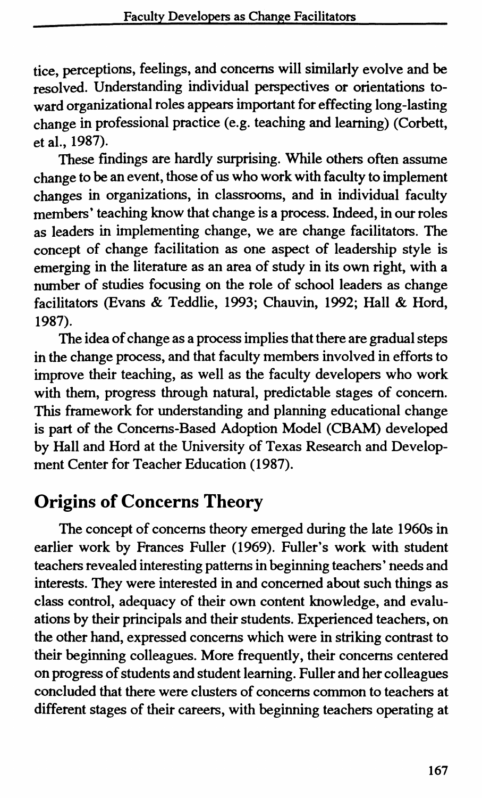tice, perceptions, feelings, and concerns will similarly evolve and be resolved. Understanding individual perspectives or orientations toward organizational roles appears important for effecting long-lasting change in professional practice (e.g. teaching and learning) (Corbett, et al., 1987).

These findings are hardly surprising. While others often assume change to be an event, those of us who work with faculty to implement changes in organizations, in classrooms, and in individual faculty members' teaching know that change is a process. Indeed, in our roles as leaders in implementing change, we are change facilitators. The concept of change facilitation as one aspect of leadership style is emerging in the literature as an area of study in its own right, with a number of studies focusing on the role of school leaders as change facilitators (Evans & Teddlie, 1993; Chauvin, 1992; Hall & Hord, 1987).

The idea of change as a process implies that there are gradual steps in the change process, and that faculty members involved in efforts to improve their teaching, as well as the faculty developers who work with them, progress through natural, predictable stages of concern. This framework for understanding and planning educational change is part of the Concerns-Based Adoption Model (CBAM) developed by Hall and Hord at the University of Texas Research and Development Center for Teacher Education (1987).

## **Origins of Concerns Theory**

The concept of concerns theory emerged during the late 1960s in earlier work by Frances Fuller (1969). Fuller's work with student teachers revealed interesting patterns in beginning teachers' needs and interests. They were interested in and concerned about such things as class control, adequacy of their own content knowledge, and evaluations by their principals and their students. Experienced teachers, on the other hand, expressed concerns which were in striking contrast to their beginning colleagues. More frequently, their concerns centered on progress of students and student learning. Fuller and her colleagues concluded that there were clusters of concerns common to teachers at different stages of their careers, with beginning teachers operating at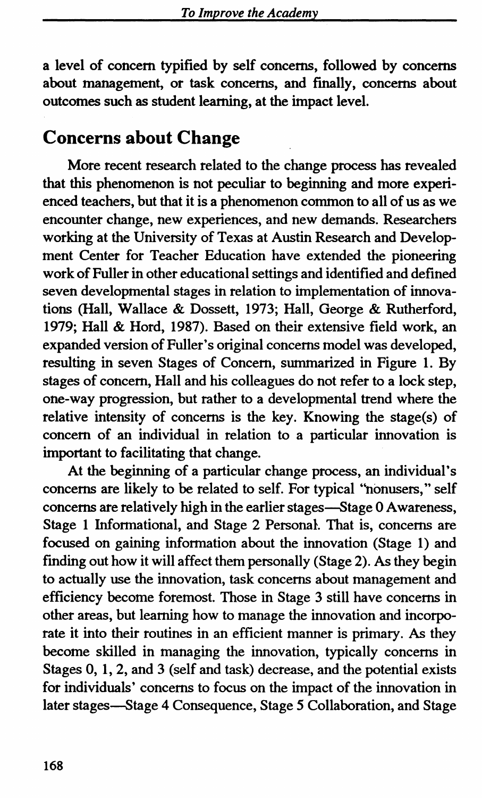a level of concern typified by self concerns, followed by concerns about management, or task concerns, and finally, concerns about outcomes such as student learning, at the impact level.

## **Concerns about Change**

More recent research related to the change process has revealed that this phenomenon is not peculiar to beginning and more experienced teachers, but that it is a phenomenon common to all of us as we encounter change, new experiences, and new demands. Researchers working at the University of Texas at Austin Research and Development Center for Teacher Education have extended the pioneering work of Fuller in other educational settings and identified and defined seven developmental stages in relation to implementation of innovations (Hall, Wallace & Dossett, 1973; Hall, George & Rutherford, 1979; Hall & Hord, 1987). Based on their extensive field work, an expanded version of Fuller's original concerns model was developed, resulting in seven Stages of Concern, summarized in Figure 1. By stages of concern, Hall and his colleagues do not refer to a lock step, one-way progression, but rather to a developmental trend where the relative intensity of concerns is the key. Knowing the stage(s) of concern of an individual in relation to a particular innovation is important to facilitating that change.

At the beginning of a particular change process, an individual's concerns are likely to be related to self. For typical "nonusers," self concerns are relatively high in the earlier stages—Stage 0 Awareness, Stage 1 Informational, and Stage 2 Personal. That is, concerns are focused on gaining information about the innovation (Stage 1) and finding out how it will affect them personally (Stage 2). As they begin to actually use the innovation, task concerns about management and efficiency become foremost. Those in Stage 3 still have concerns in other areas, but learning how to manage the innovation and incorporate it into their routines in an efficient manner is primary. As they become skilled in managing the innovation, typically concerns in Stages 0, 1, 2, and 3 (self and task) decrease, and the potential exists for individuals' concerns to focus on the impact of the innovation in later stages-Stage 4 Consequence, Stage *5* Collaboration, and Stage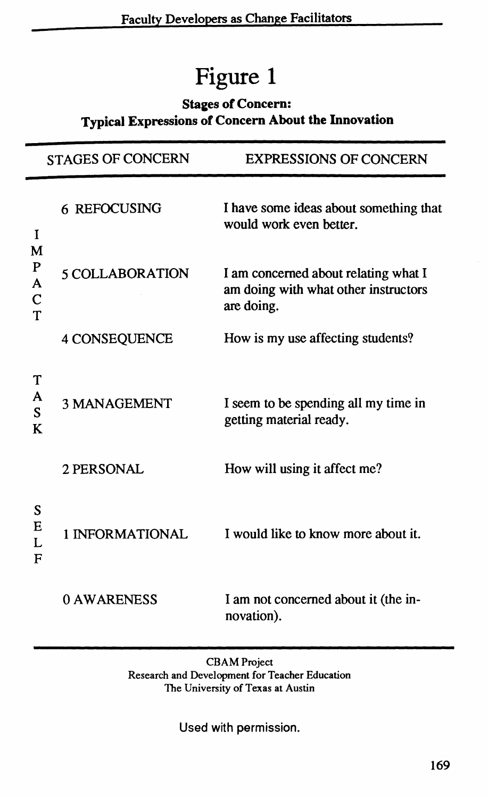## Figure 1

#### Stages of Concern: Typical Expressions of Concern About the Innovation

|                                 | <b>STAGES OF CONCERN</b> | <b>EXPRESSIONS OF CONCERN</b>                                                              |
|---------------------------------|--------------------------|--------------------------------------------------------------------------------------------|
| I                               | 6 REFOCUSING             | I have some ideas about something that<br>would work even better.                          |
| М<br>P<br>A<br>$\mathbf C$<br>T | 5 COLLABORATION          | I am concerned about relating what I<br>am doing with what other instructors<br>are doing. |
|                                 | 4 CONSEQUENCE            | How is my use affecting students?                                                          |
| T<br>A<br>S<br>K                | <b>3 MANAGEMENT</b>      | I seem to be spending all my time in<br>getting material ready.                            |
|                                 | 2 PERSONAL               | How will using it affect me?                                                               |
| S<br>Е<br>L<br>F                | 1 INFORMATIONAL          | I would like to know more about it.                                                        |
|                                 | 0 AWARENESS              | I am not concerned about it (the in-<br>novation).                                         |

CBAM Project Research and Development for Teacher Education The University of Texas at Austin

Used with permission.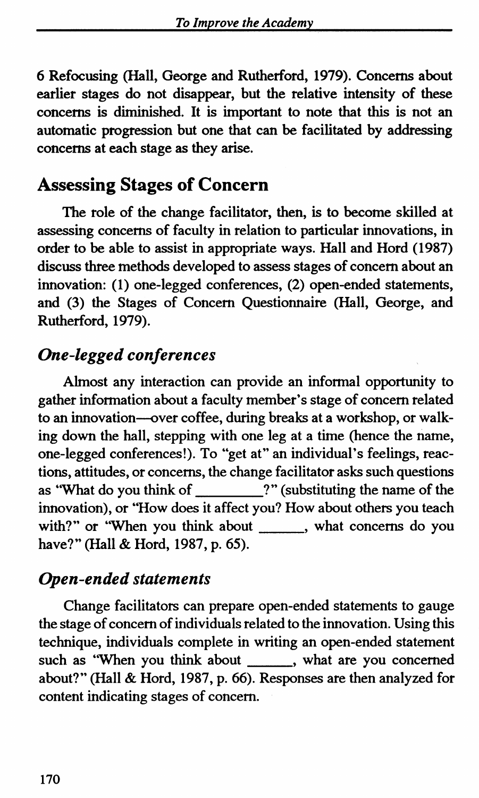6 Refocusing (Hall, George and Rutherford, 1979). Concerns about earlier stages do not disappear, but the relative intensity of these concerns is diminished. It is important to note that this is not an automatic progression but one that can be facilitated by addressing concerns at each stage as they arise.

## Assessing Stages of Concern

The role of the change facilitator, then, is to become skilled at assessing concerns of faculty in relation to particular innovations, in order to be able to assist in appropriate ways. Hall and Hord (1987) discuss three methods developed to assess stages of concern about an innovation: (1) one-legged conferences, (2) open-ended statements, and (3) the Stages of Concern Questionnaire (Hall, George, and Rutherford, 1979).

### *One-legged conferences*

Almost any interaction can provide an informal opportunity to gather information about a faculty member's stage of concern related to an innovation-over coffee, during breaks at a workshop, or walking down the hall, stepping with one leg at a time (hence the name, one-legged conferences!). To "get at" an individual's feelings, reactions, attitudes, or concerns, the change facilitator asks such questions as "What do you think of \_\_\_\_\_\_\_\_\_?" (substituting the name of the innovation), or "How does it affect you? How about others you teach with?" or "When you think about \_\_\_\_\_\_, what concerns do you have?" (Hall & Hord, 1987, p. 65).

### *Open-ended statements*

Change facilitators can prepare open-ended statements to gauge the stage of concern of individuals related to the innovation. Using this technique, individuals complete in writing an open-ended statement such as "When you think about , what are you concerned about?" (Hall & Hord, 1987, p. 66). Responses are then analyzed for content indicating stages of concern.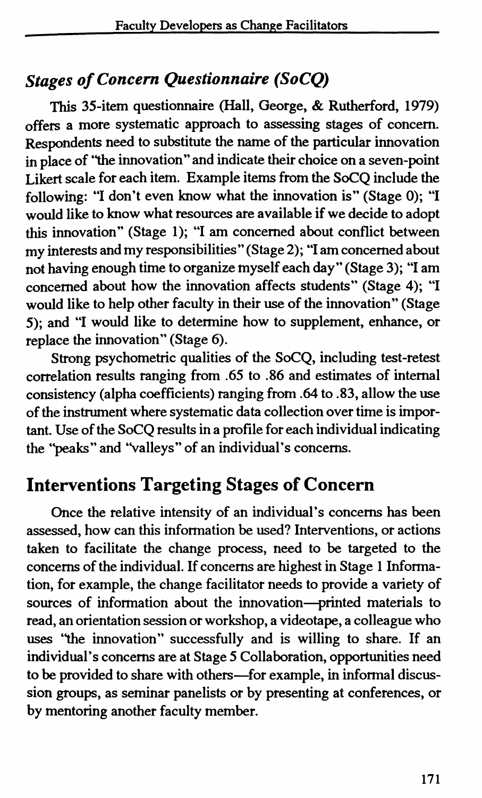## *Stages of Concern Questionnaire (SoCQ)*

This 35-item questionnaire (Hall, George, & Rutherford, 1979) offers a more systematic approach to assessing stages of concern. Respondents need to substitute the name of the particular innovation in place of "the innovation" and indicate their choice on a seven-point Likert scale for each item. Example items from the SoCQ include the following: "I don't even know what the innovation is" (Stage 0); "I would like to know what resources are available if we decide to adopt this innovation" (Stage 1); "I am concerned about conflict between my interests and my responsibilities" (Stage 2); "I am concerned about not having enough time to organize myself each day" (Stage 3); "I am concerned about how the innovation affects students" (Stage 4); "I would like to help other faculty in their use of the innovation" (Stage 5); and "I would like to determine how to supplement, enhance, or replace the innovation" (Stage 6).

Strong psychometric qualities of the SoCQ, including test-retest correlation results ranging from .65 to .86 and estimates of internal consistency (alpha coefficients) ranging from .64 to .83, allow the use of the instrument where systematic data collection over time is important. Use of the SoCQ results in a profile for each individual indicating the ''peaks" and "valleys" of an individual's concerns.

## **Interventions Targeting Stages of Concern**

Once the relative intensity of an individual's concerns has been assessed, how can this information be used? Interventions, or actions taken to facilitate the change process, need to be targeted to the concerns of the individual. If concerns are highest in Stage 1 Information, for example, the change facilitator needs to provide a variety of sources of information about the innovation-printed materials to read, an orientation session or workshop, a videotape, a colleague who uses ''the innovation" successfully and is willing to share. If an individual's concerns are at Stage *5* Collaboration, opportunities need to be provided to share with others-for example, in informal discussion groups, as seminar panelists or by presenting at conferences, or by mentoring another faculty member.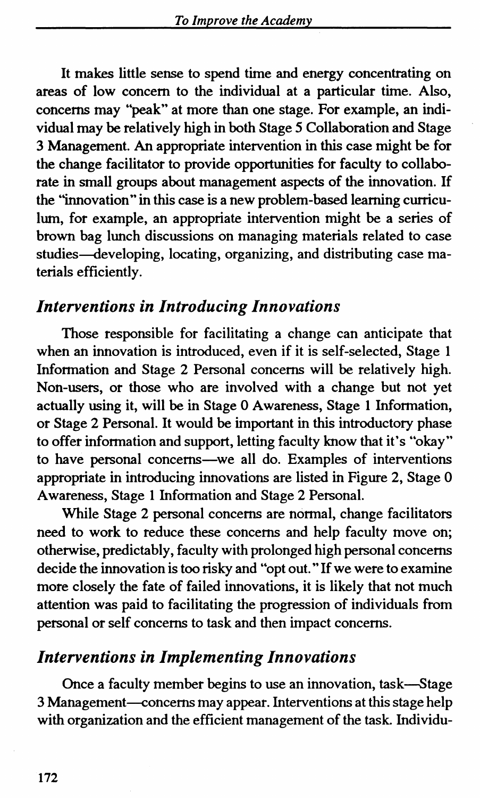It makes little sense to spend time and energy concentrating on areas of low concern to the individual at a particular time. Also, concerns may ''peak" at more than one stage. For example, an individual may be relatively high in both Stage *5* Collaboration and Stage 3 Management. An appropriate intervention in this case might be for the change facilitator to provide opportunities for faculty to collaborate in small groups about management aspects of the innovation. If the "innovation" in this case is a new problem-based learning curriculum, for example, an appropriate intervention might be a series of brown bag lunch discussions on managing materials related to case studies—developing, locating, organizing, and distributing case materials efficiently.

#### *Interventions in Introducing Innovations*

Those responsible for facilitating a change can anticipate that when an innovation is introduced, even if it is self-selected, Stage 1 Information and Stage 2 Personal concerns will be relatively high. Non-users, or those who are involved with a change but not yet actually using it, will be in Stage 0 Awareness, Stage 1 Information, or Stage 2 Personal. It would be important in this introductory phase to offer information and support, letting faculty know that it's "okay" to have personal concerns-we all do. Examples of interventions appropriate in introducing innovations are listed in Figure 2, Stage 0 Awareness, Stage 1 Information and Stage 2 Personal.

While Stage 2 personal concerns are normal, change facilitators need to work to reduce these concerns and help faculty move on; otherwise, predictably, faculty with prolonged high personal concerns decide the innovation is too risky and "opt out." If we were to examine more closely the fate of failed innovations, it is likely that not much attention was paid to facilitating the progression of individuals from personal or self concerns to task and then impact concerns.

#### *Interventions in Implementing Innovations*

Once a faculty member begins to use an innovation, task-Stage 3 Management-concerns may appear. Interventions at this stage help with organization and the efficient management of the task. Individu-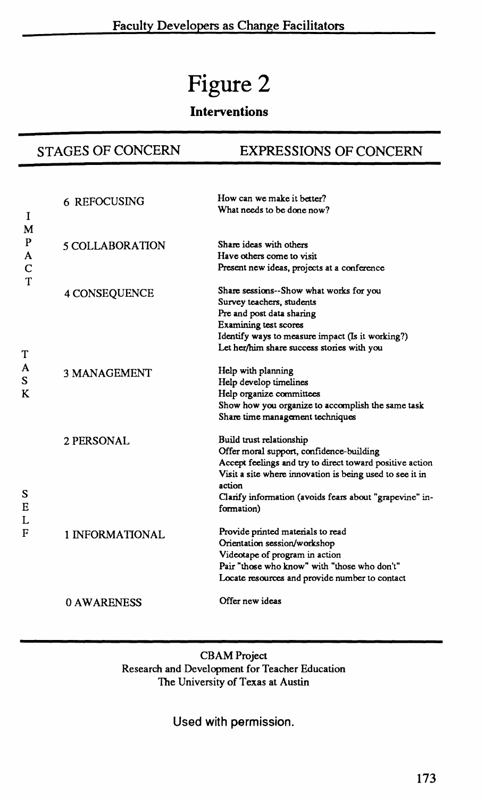## **Figure 2**

#### **Interventions**

#### STAGES OF CONCERN EXPRESSIONS OF CONCERN

| T<br>M      | 6 REFOCUSING        | How can we make it better?<br>What needs to be done now?                                                                                                                                                                                                                        |
|-------------|---------------------|---------------------------------------------------------------------------------------------------------------------------------------------------------------------------------------------------------------------------------------------------------------------------------|
| P<br>A<br>C | 5 COLLABORATION     | Share ideas with others<br>Have others come to visit<br>Present new ideas, projects at a conference                                                                                                                                                                             |
| т<br>Т      | 4 CONSEQUENCE       | Share sessions--Show what works for you<br>Survey teachers, students<br>Pre and post data sharing<br>Examining test scores<br>Identify ways to measure impact (Is it working?)<br>Let her/him share success stories with you                                                    |
| A<br>S<br>K | <b>3 MANAGEMENT</b> | Help with planning<br>Help develop timelines<br>Help organize committees<br>Show how you organize to accomplish the same task<br>Share time management techniques                                                                                                               |
| s<br>E      | 2 PERSONAL          | Build trust relationship<br>Offer moral support, confidence-building<br>Accept feelings and try to direct toward positive action<br>Visit a site where innovation is being used to see it in<br>action<br>Clarify information (avoids fears about "grapevine" in-<br>formation) |
| L<br>F      | 1 INFORMATIONAL     | Provide printed materials to read<br>Orientation session/workshop<br>Videotape of program in action<br>Pair "those who know" with "those who don't"<br>Locate resources and provide number to contact                                                                           |
|             | 0 AWARENESS         | Offer new ideas                                                                                                                                                                                                                                                                 |

CBAM Project Research and Development for Teacher Education The University of Texas at Austin

#### Used with permission.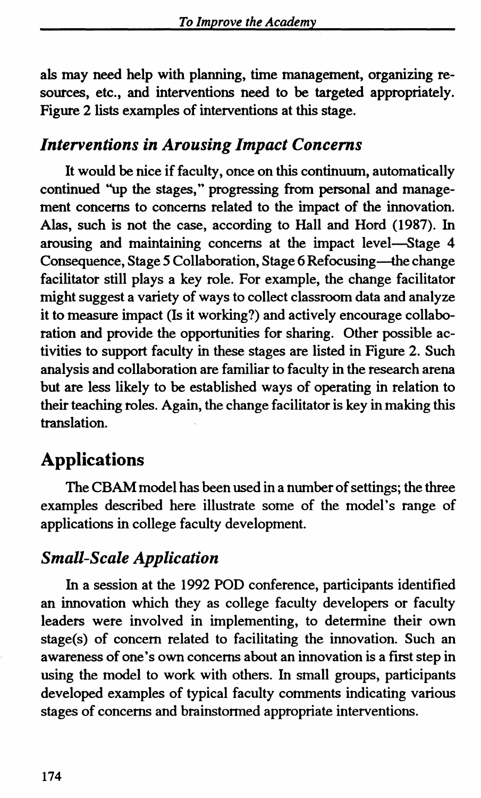als may need help with planning, time management, organizing resources, etc., and interventions need to be targeted appropriately. Figure 2 lists examples of interventions at this stage.

#### *Interventions in Arousing Impact Concerns*

It would be nice if faculty, once on this continuum, automatically continued "up the stages," progressing from personal and management concerns to concerns related to the impact of the innovation. Alas, such is not the case, according to Hall and Hord (1987). In arousing and maintaining concerns at the impact level-Stage 4 Consequence, Stage 5 Collaboration, Stage 6 Refocusing-the change facilitator still plays a key role. For example, the change facilitator might suggest a variety of ways to collect classroom data and analyze it to measure impact (Is it working?) and actively encourage collaboration and provide the opportunities for sharing. Other possible activities to support faculty in these stages are listed in Figure 2. Such analysis and collaboration are familiar to faculty in the research arena but are less likely to be established ways of operating in relation to their teaching roles. Again, the change facilitator is key in making this translation.

## **Applications**

The CBAM model has been used in a number of settings; the three examples described here illustrate some of the model's range of applications in college faculty development.

### *Small-Scale Application*

In a session at the 1992 POD conference, participants identified an innovation which they as college faculty developers or faculty leaders were involved in implementing, to determine their own stage(s) of concern related to facilitating the innovation. Such an awareness of one's own concerns about an innovation is a first step in using the model to work with others. In small groups, participants developed examples of typical faculty comments indicating various stages of concerns and brainstormed appropriate interventions.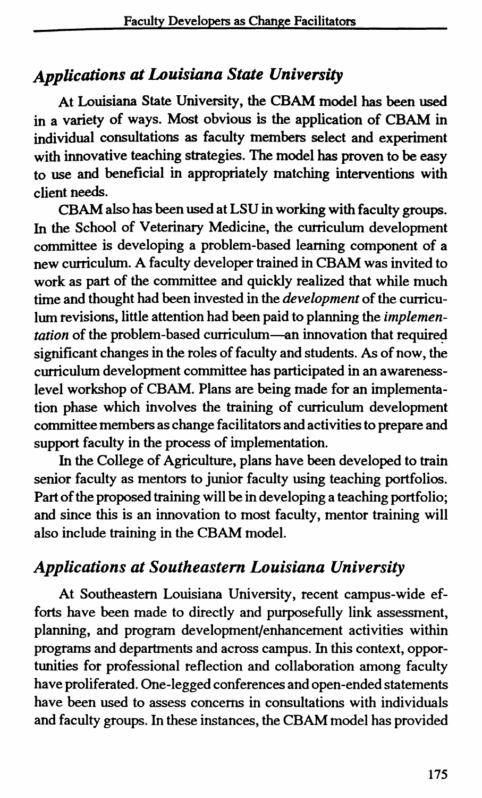### *Applications at Louisiana State University*

At Louisiana State University, the CBAM model has been used in a variety of ways. Most obvious is the application of CBAM in individual consultations as faculty members select and experiment with innovative teaching strategies. The model has proven to be easy to use and beneficial in appropriately matching interventions with client needs.

CBAM also has been used at LSU in working with faculty groups. In the School of Veterinary Medicine, the curriculum development committee is developing a problem-based learning component of a new curriculum. A faculty developer trained in CBAM was invited to work as part of the committee and quickly realized that while much time and thought had been invested in the *development* of the curriculum revisions, little attention had been paid to planning the *implementation* of the problem-based curriculum-an innovation that required significant changes in the roles of faculty and students. As of now, the curriculum development committee has participated in an awarenesslevel workshop of CBAM. Plans are being made for an implementation phase which involves the training of curriculum development committee members as change facilitators and activities to prepare and support faculty in the process of implementation.

In the College of Agriculture, plans have been developed to train senior faculty as mentors to junior faculty using teaching portfolios. Part of the proposed training will be in developing a teaching portfolio; and since this is an innovation to most faculty, mentor training will also include training in the CBAM model.

### *Applications at Southeastern Louisiana University*

At Southeastern Louisiana University, recent campus-wide efforts have been made to directly and purposefully link assessment, planning, and program development/enhancement activities within programs and departments and across campus. In this context, opportunities for professional reflection and collaboration among faculty have proliferated. One-legged conferences and open-ended statements have been used to assess concerns in consultations with individuals and faculty groups. In these instances, the CBAM model has provided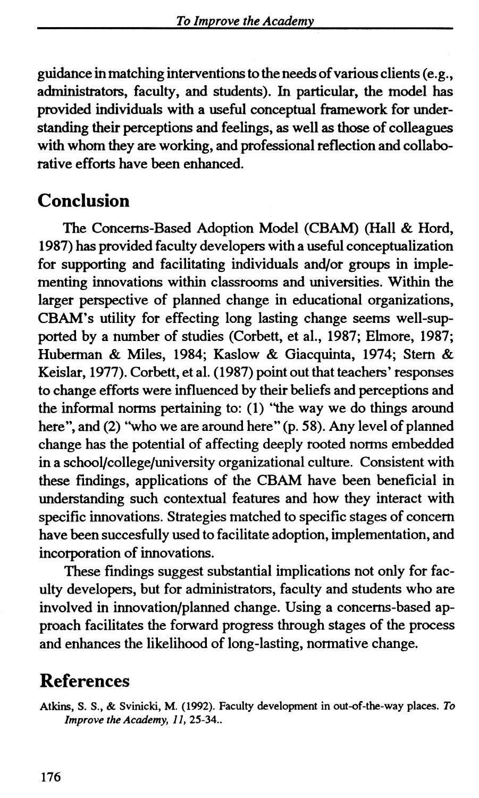guidance in matching interventions to the needs of various clients (e.g., administrators, faculty, and students). In particular, the model has provided individuals with a useful conceptual framework for understanding their perceptions and feelings, as well as those of colleagues with whom they are working, and professional reflection and collaborative efforts have been enhanced.

## **Conclusion**

The Concerns-Based Adoption Model (CBAM) (Hall & Hord, 1987) has provided faculty developers with a useful conceptualization for supporting and facilitating individuals and/or groups in implementing innovations within classrooms and universities. Within the larger perspective of planned change in educational organizations, CBAM's utility for effecting long lasting change seems well-supported by a number of studies (Corbett, et al., 1987; Ehnore, 1987; Huberman & Miles, 1984; Kaslow & Giacquinta, 1974; Stem & Keislar, 1977). Corbett, et al. (1987) point out that teachers' responses to change efforts were influenced by their beliefs and perceptions and the informal norms pertaining to: (1) ''the way we do things around here", and (2) "who we are around here" (p. 58). Any level of planned change has the potential of affecting deeply rooted norms embedded in a school/college/university organizational culture. Consistent with these fmdings, applications of the CBAM have been beneficial in understanding such contextual features and how they interact with specific innovations. Strategies matched to specific stages of concern have been succesfully used to facilitate adoption, implementation, and incorporation of innovations.

These findings suggest substantial implications not only for faculty developers, but for administrators, faculty and students who are involved in innovation/planned change. Using a concerns-based approach facilitates the forward progress through stages of the process and enhances the likelihood of long-lasting, normative change.

## **References**

Atkins, S. S., & Svinicki, M. (1992). Faculty development in out-of-the-way places. *To Improve the Academy, 11, 25-34...*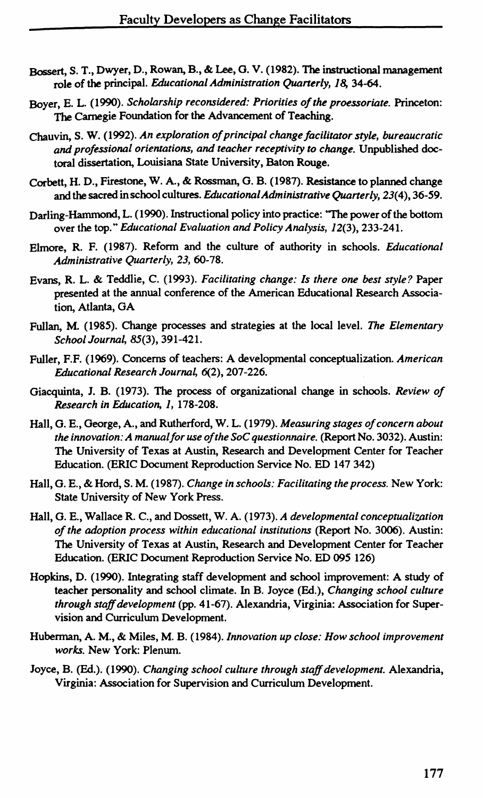- Bossert, S. T., Dwyer, D., Rowan, B., & Lee, 0. V. (1982). The instructional management role of the principal. *Educational Administration Quanerly, 18,* 34-64.
- Boyer, E. L. (1990). *Scholarship reconsidered: Priorities of the proessoriate.* Princeton: The Carnegie Foundation for the Advancement of Teaching.
- Chauvin, S. W. (1992). *An exploration of principal change facilitator style, bureaucratic and professional orientations, and teacher receptivity to change.* Unpublished doctoral dissertation, Louisiana State University, Baton Rouge.
- Corbett, H. D., Firestone, W. A., & Rossman, 0. B. (1987). Resistance to planned change and the sacred in school cultures. *Educational Administrative Quanerly, 23(* 4), 36-59.
- Darling-Hammond, L. ( 1990). Instructional policy into practice: 'The power of the bottom over the top." *Educational Evaluation and Policy Analysis, 12(3), 233-241.*
- Elmore, R. F. (1987). Reform and the culture of authority in schools. *Educational Administrative Quanerly, 23,* 60-78.
- Evans, R. L. & Teddlie, C. (1993). *Facilitating change: Is there one best style?* Paper presented at the annual conference of the American Educational Research Association, Atlanta, OA
- Fullan, M. (1985). Change processes and strategies at the local level. *The Elementary*  School Journal, 85(3), 391-421.
- Fuller, F.F. (1969). Concerns of teachers: A developmental conceptualization. *American*  Educational Research Journal, 6(2), 207-226.
- Oiacquinta, J. B. (1973). The process of organizational change in schools. *Review of Research in Education, 1,* 178-208.
- Hall, 0. E., George, A., and Rutherford, W. L. (1979). *Measuring stages of concern about the innovation: A manual for use of the SoC questionnaire.* (Report No. 3032). Austin: The University of Texas at Austin, Research and Development Center for Teacher Education. (ERIC Document Reproduction Service No. ED 147 342)
- Hall, 0. E., & Hord, S.M. (1987). *Change in schools: Facilitating the process.* New York: State University of New York Press.
- Hall, 0. E., Wallace R. C., and Dossett, W. A. (1973). *A developmental conceptualization of the adoption process within educational institutions* (Report No. 3006). Austin: The University of Texas at Austin, Research and Development Center for Teacher Education. (ERIC Document Reproduction Service No. ED 095 126)
- Hopkins, D. (1990). Integrating staff development and school improvement: A study of teacher personality and school climate. In B. Joyce (Ed.), *Changing school culture through staff development* (pp. 41-67). Alexandria, Virginia: Association for Supervision and Curriculum Development.
- Huberman, A.M., & Miles, M. B. *(1984)./nnovation up close: How school improvement works.* New York: Plenum.
- Joyce, B. (Ed.). (1990). *Changing school culture through staff development.* Alexandria, Virginia: Association for Supervision and Curriculum Development.